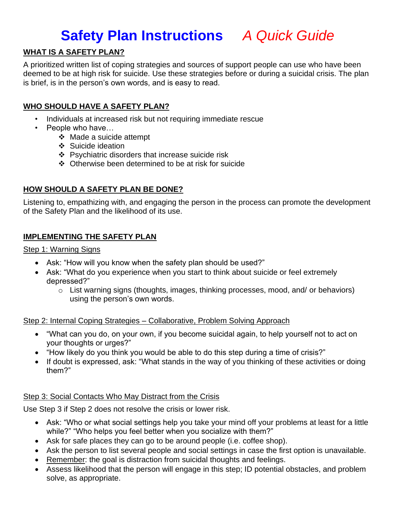## **Safety Plan Instructions** *A Quick Guide*

#### **WHAT IS A SAFETY PLAN?**

A prioritized written list of coping strategies and sources of support people can use who have been deemed to be at high risk for suicide. Use these strategies before or during a suicidal crisis. The plan is brief, is in the person's own words, and is easy to read.

#### **WHO SHOULD HAVE A SAFETY PLAN?**

- Individuals at increased risk but not requiring immediate rescue
- People who have…
	- ❖ Made a suicide attempt
	- ❖ Suicide ideation
	- ❖ Psychiatric disorders that increase suicide risk
	- ❖ Otherwise been determined to be at risk for suicide

#### **HOW SHOULD A SAFETY PLAN BE DONE?**

Listening to, empathizing with, and engaging the person in the process can promote the development of the Safety Plan and the likelihood of its use.

#### **IMPLEMENTING THE SAFETY PLAN**

Step 1: Warning Signs

- Ask: "How will you know when the safety plan should be used?"
- Ask: "What do you experience when you start to think about suicide or feel extremely depressed?"
	- o List warning signs (thoughts, images, thinking processes, mood, and/ or behaviors) using the person's own words.

Step 2: Internal Coping Strategies – Collaborative, Problem Solving Approach

- "What can you do, on your own, if you become suicidal again, to help yourself not to act on your thoughts or urges?"
- "How likely do you think you would be able to do this step during a time of crisis?"
- If doubt is expressed, ask: "What stands in the way of you thinking of these activities or doing them?"

#### Step 3: Social Contacts Who May Distract from the Crisis

Use Step 3 if Step 2 does not resolve the crisis or lower risk.

- Ask: "Who or what social settings help you take your mind off your problems at least for a little while?" "Who helps you feel better when you socialize with them?"
- Ask for safe places they can go to be around people (i.e. coffee shop).
- Ask the person to list several people and social settings in case the first option is unavailable.
- Remember: the goal is distraction from suicidal thoughts and feelings.
- Assess likelihood that the person will engage in this step; ID potential obstacles, and problem solve, as appropriate.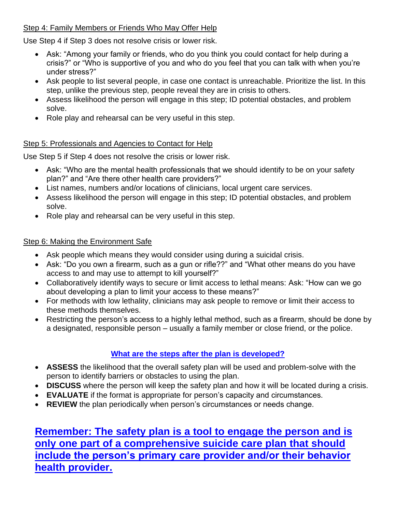#### Step 4: Family Members or Friends Who May Offer Help

Use Step 4 if Step 3 does not resolve crisis or lower risk.

- Ask: "Among your family or friends, who do you think you could contact for help during a crisis?" or "Who is supportive of you and who do you feel that you can talk with when you're under stress?"
- Ask people to list several people, in case one contact is unreachable. Prioritize the list. In this step, unlike the previous step, people reveal they are in crisis to others.
- Assess likelihood the person will engage in this step; ID potential obstacles, and problem solve.
- Role play and rehearsal can be very useful in this step.

#### Step 5: Professionals and Agencies to Contact for Help

Use Step 5 if Step 4 does not resolve the crisis or lower risk.

- Ask: "Who are the mental health professionals that we should identify to be on your safety plan?" and "Are there other health care providers?"
- List names, numbers and/or locations of clinicians, local urgent care services.
- Assess likelihood the person will engage in this step; ID potential obstacles, and problem solve.
- Role play and rehearsal can be very useful in this step.

#### Step 6: Making the Environment Safe

- Ask people which means they would consider using during a suicidal crisis.
- Ask: "Do you own a firearm, such as a gun or rifle??" and "What other means do you have access to and may use to attempt to kill yourself?"
- Collaboratively identify ways to secure or limit access to lethal means: Ask: "How can we go about developing a plan to limit your access to these means?"
- For methods with low lethality, clinicians may ask people to remove or limit their access to these methods themselves.
- Restricting the person's access to a highly lethal method, such as a firearm, should be done by a designated, responsible person – usually a family member or close friend, or the police.

### **What are the steps after the plan is developed?**

- **ASSESS** the likelihood that the overall safety plan will be used and problem-solve with the person to identify barriers or obstacles to using the plan.
- **DISCUSS** where the person will keep the safety plan and how it will be located during a crisis.
- **EVALUATE** if the format is appropriate for person's capacity and circumstances.
- **REVIEW** the plan periodically when person's circumstances or needs change.

**Remember: The safety plan is a tool to engage the person and is only one part of a comprehensive suicide care plan that should include the person's primary care provider and/or their behavior health provider.**